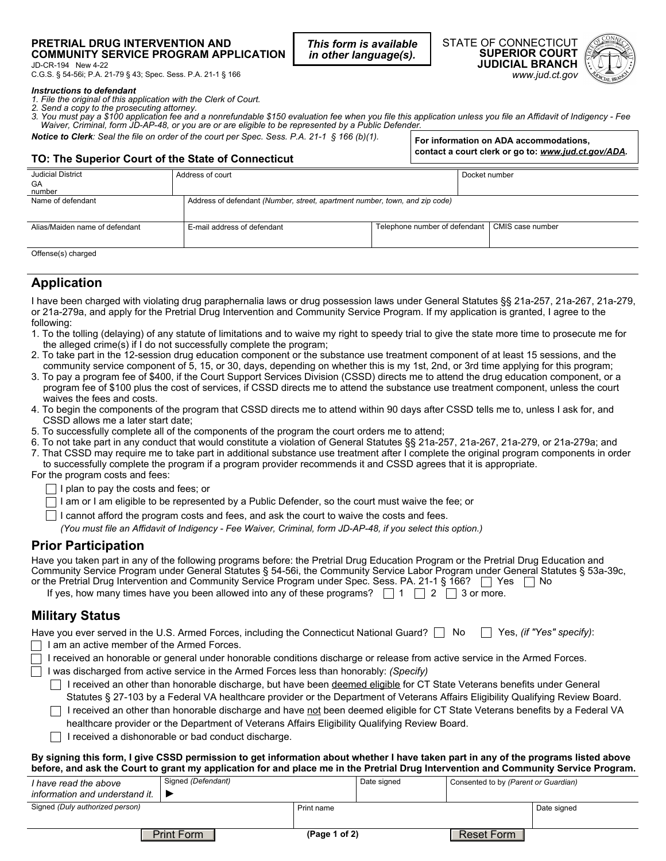#### **PRETRIAL DRUG INTERVENTION AND COMMUNITY SERVICE PROGRAM APPLICATION**

*This form is available in other language(s).*

STATE OF CONNECTICUT **SUPERIOR COURT JUDICIAL BRANCH**  *www.jud.ct.gov*

**For information on ADA accommodations, contact a court clerk or go to:** *www.jud.ct.gov/ADA.*



JD-CR-194 New 4-22 C.G.S. § 54-56i; P.A. 21-79 § 43; Spec. Sess. P.A. 21-1 § 166

*Instructions to defendant 1. File the original of this application with the Clerk of Court.* 

- *2. Send a copy to the prosecuting attorney.*
- *3. You must pay a \$100 application fee and a nonrefundable \$150 evaluation fee when you file this application unless you file an Affidavit of Indigency Fee Waiver, Criminal, form JD-AP-48, or you are or are eligible to be represented by a Public Defender.*
- *Notice to Clerk: Seal the file on order of the court per Spec. Sess. P.A. 21-1 § 166 (b)(1).*

## **TO: The Superior Court of the State of Connecticut**

| <b>Judicial District</b>       | Address of court                                                            |                               | Docket number    |  |  |  |  |
|--------------------------------|-----------------------------------------------------------------------------|-------------------------------|------------------|--|--|--|--|
| GA                             |                                                                             |                               |                  |  |  |  |  |
| number                         |                                                                             |                               |                  |  |  |  |  |
| Name of defendant              | Address of defendant (Number, street, apartment number, town, and zip code) |                               |                  |  |  |  |  |
|                                |                                                                             |                               |                  |  |  |  |  |
| Alias/Maiden name of defendant | E-mail address of defendant                                                 | Telephone number of defendant | CMIS case number |  |  |  |  |
|                                |                                                                             |                               |                  |  |  |  |  |
| Offense(s) charged             |                                                                             |                               |                  |  |  |  |  |

# **Application**

I have been charged with violating drug paraphernalia laws or drug possession laws under General Statutes §§ 21a-257, 21a-267, 21a-279, or 21a-279a, and apply for the Pretrial Drug Intervention and Community Service Program. If my application is granted, I agree to the following:

- 1. To the tolling (delaying) of any statute of limitations and to waive my right to speedy trial to give the state more time to prosecute me for the alleged crime(s) if I do not successfully complete the program;
- 2. To take part in the 12-session drug education component or the substance use treatment component of at least 15 sessions, and the community service component of 5, 15, or 30, days, depending on whether this is my 1st, 2nd, or 3rd time applying for this program;
- 3. To pay a program fee of \$400, if the Court Support Services Division (CSSD) directs me to attend the drug education component, or a program fee of \$100 plus the cost of services, if CSSD directs me to attend the substance use treatment component, unless the court waives the fees and costs.
- 4. To begin the components of the program that CSSD directs me to attend within 90 days after CSSD tells me to, unless I ask for, and CSSD allows me a later start date;
- 5. To successfully complete all of the components of the program the court orders me to attend;
- 6. To not take part in any conduct that would constitute a violation of General Statutes §§ 21a-257, 21a-267, 21a-279, or 21a-279a; and 7. That CSSD may require me to take part in additional substance use treatment after I complete the original program components in order

to successfully complete the program if a program provider recommends it and CSSD agrees that it is appropriate.

For the program costs and fees:

 $\Box$  I plan to pay the costs and fees; or

 $\Box$  I am or I am eligible to be represented by a Public Defender, so the court must waive the fee; or

 $\Box$  I cannot afford the program costs and fees, and ask the court to waive the costs and fees.

*(You must file an Affidavit of Indigency - Fee Waiver, Criminal, form JD-AP-48, if you select this option.)*

# **Prior Participation**

| Have you taken part in any of the following programs before: the Pretrial Drug Education Program or the Pretrial Drug Education and<br>Community Service Program under General Statutes § 54-56i, the Community Service Labor Program under General Statutes § 53a-39c,<br>or the Pretrial Drug Intervention and Community Service Program under Spec. Sess. PA. 21-1 § 166? $\Box$ Yes $\Box$ No<br>If yes, how many times have you been allowed into any of these programs? $\Box$ 1 $\Box$ 2 $\Box$ 3 or more. |
|-------------------------------------------------------------------------------------------------------------------------------------------------------------------------------------------------------------------------------------------------------------------------------------------------------------------------------------------------------------------------------------------------------------------------------------------------------------------------------------------------------------------|
| <b>Military Status</b>                                                                                                                                                                                                                                                                                                                                                                                                                                                                                            |
| Have you ever served in the U.S. Armed Forces, including the Connecticut National Guard? No Nes, (if "Yes" specify):                                                                                                                                                                                                                                                                                                                                                                                              |
| □ I am an active member of the Armed Forces.                                                                                                                                                                                                                                                                                                                                                                                                                                                                      |
| $\Box$ I received an honorable or general under honorable conditions discharge or release from active service in the Armed Forces.                                                                                                                                                                                                                                                                                                                                                                                |
| $\Box$ Luca discharged from active convice in the Armed Ferson less than benerably (Cnosify)                                                                                                                                                                                                                                                                                                                                                                                                                      |

I was discharged from active service in the Armed Forces less than honorably: *(Specify)*  $\Box$  I received an other than honorable discharge, but have been deemed eligible for CT State Veterans benefits under General

Statutes § 27-103 by a Federal VA healthcare provider or the Department of Veterans Affairs Eligibility Qualifying Review Board.

- $\Box$  I received an other than honorable discharge and have not been deemed eligible for CT State Veterans benefits by a Federal VA healthcare provider or the Department of Veterans Affairs Eligibility Qualifying Review Board.
- $\Box$  I received a dishonorable or bad conduct discharge.

### **By signing this form, I give CSSD permission to get information about whether I have taken part in any of the programs listed above before, and ask the Court to grant my application for and place me in the Pretrial Drug Intervention and Community Service Program.**

| I have read the above           |                   | Signed (Defendant) |               | Date signed | Consented to by (Parent or Guardian) |             |
|---------------------------------|-------------------|--------------------|---------------|-------------|--------------------------------------|-------------|
| information and understand it.  |                   |                    |               |             |                                      |             |
| Signed (Duly authorized person) |                   |                    | Print name    |             |                                      | Date signed |
|                                 |                   |                    |               |             |                                      |             |
|                                 | <b>Print Form</b> |                    | (Page 1 of 2) |             | Reset Form                           |             |